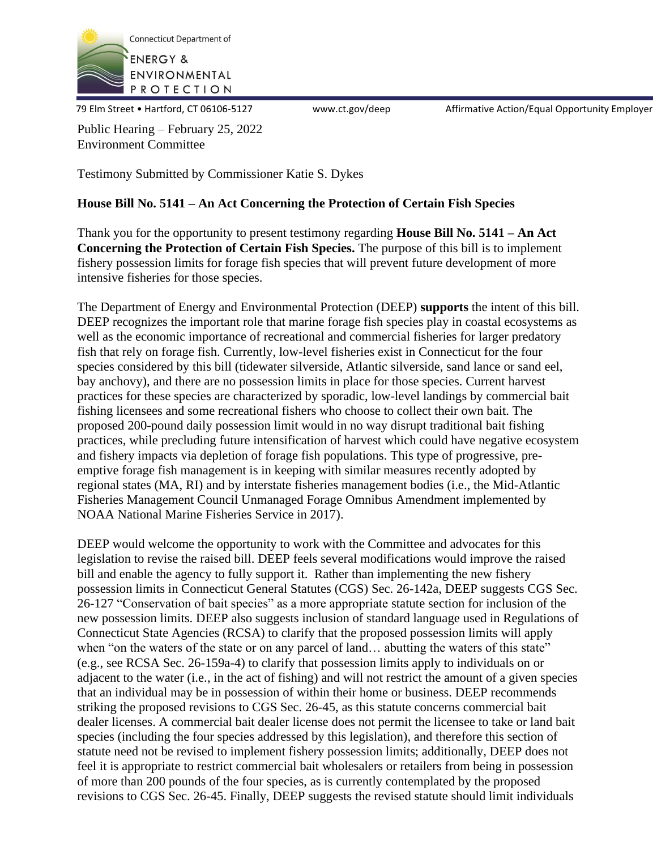

79 Elm Street • Hartford, CT 06106-5127 www.ct.gov/deep Affirmative Action/Equal Opportunity Employer

Public Hearing – February 25, 2022 Environment Committee

Testimony Submitted by Commissioner Katie S. Dykes

## **House Bill No. 5141 – An Act Concerning the Protection of Certain Fish Species**

Thank you for the opportunity to present testimony regarding **House Bill No. 5141 – An Act Concerning the Protection of Certain Fish Species.** The purpose of this bill is to implement fishery possession limits for forage fish species that will prevent future development of more intensive fisheries for those species.

The Department of Energy and Environmental Protection (DEEP) **supports** the intent of this bill. DEEP recognizes the important role that marine forage fish species play in coastal ecosystems as well as the economic importance of recreational and commercial fisheries for larger predatory fish that rely on forage fish. Currently, low-level fisheries exist in Connecticut for the four species considered by this bill (tidewater silverside, Atlantic silverside, sand lance or sand eel, bay anchovy), and there are no possession limits in place for those species. Current harvest practices for these species are characterized by sporadic, low-level landings by commercial bait fishing licensees and some recreational fishers who choose to collect their own bait. The proposed 200-pound daily possession limit would in no way disrupt traditional bait fishing practices, while precluding future intensification of harvest which could have negative ecosystem and fishery impacts via depletion of forage fish populations. This type of progressive, preemptive forage fish management is in keeping with similar measures recently adopted by regional states (MA, RI) and by interstate fisheries management bodies (i.e., the Mid-Atlantic Fisheries Management Council Unmanaged Forage Omnibus Amendment implemented by NOAA National Marine Fisheries Service in 2017).

DEEP would welcome the opportunity to work with the Committee and advocates for this legislation to revise the raised bill. DEEP feels several modifications would improve the raised bill and enable the agency to fully support it. Rather than implementing the new fishery possession limits in Connecticut General Statutes (CGS) Sec. 26-142a, DEEP suggests CGS Sec. 26-127 "Conservation of bait species" as a more appropriate statute section for inclusion of the new possession limits. DEEP also suggests inclusion of standard language used in Regulations of Connecticut State Agencies (RCSA) to clarify that the proposed possession limits will apply when "on the waters of the state or on any parcel of land... abutting the waters of this state" (e.g., see RCSA Sec. 26-159a-4) to clarify that possession limits apply to individuals on or adjacent to the water (i.e., in the act of fishing) and will not restrict the amount of a given species that an individual may be in possession of within their home or business. DEEP recommends striking the proposed revisions to CGS Sec. 26-45, as this statute concerns commercial bait dealer licenses. A commercial bait dealer license does not permit the licensee to take or land bait species (including the four species addressed by this legislation), and therefore this section of statute need not be revised to implement fishery possession limits; additionally, DEEP does not feel it is appropriate to restrict commercial bait wholesalers or retailers from being in possession of more than 200 pounds of the four species, as is currently contemplated by the proposed revisions to CGS Sec. 26-45. Finally, DEEP suggests the revised statute should limit individuals